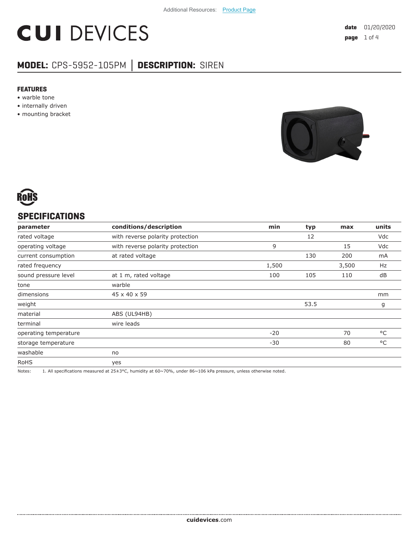# **CUI DEVICES**

## **MODEL:** CPS-5952-105PM **│ DESCRIPTION:** SIREN

#### **FEATURES**

- warble tone
- internally driven
- mounting bracket





#### **SPECIFICATIONS**

| parameter             | conditions/description           | min   | typ  | max   | units |
|-----------------------|----------------------------------|-------|------|-------|-------|
| rated voltage         | with reverse polarity protection |       | 12   |       | Vdc   |
| operating voltage     | with reverse polarity protection | 9     |      | 15    | Vdc   |
| current consumption   | at rated voltage                 |       | 130  | 200   | mA    |
| rated frequency       |                                  | 1,500 |      | 3,500 | Hz    |
| sound pressure level  | at 1 m, rated voltage            | 100   | 105  | 110   | dB    |
| tone                  | warble                           |       |      |       |       |
| dimensions            | 45 x 40 x 59                     |       |      |       | mm    |
| weight                |                                  |       | 53.5 |       | g     |
| material              | ABS (UL94HB)                     |       |      |       |       |
| terminal              | wire leads                       |       |      |       |       |
| operating temperature |                                  | $-20$ |      | 70    | °C    |
| storage temperature   |                                  | $-30$ |      | 80    | °C    |
| washable              | no                               |       |      |       |       |
| <b>RoHS</b>           | yes                              |       |      |       |       |

Notes: 1. All specifications measured at 25±3°C, humidity at 60~70%, under 86~106 kPa pressure, unless otherwise noted.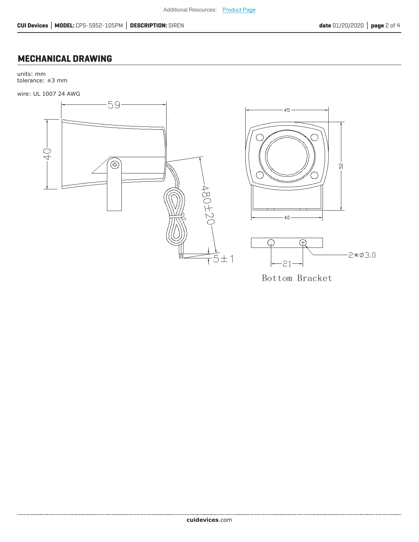### **MECHANICAL DRAWING**

units: mm tolerance: ±3 mm

wire: UL 1007 24 AWG





Bottom Bracket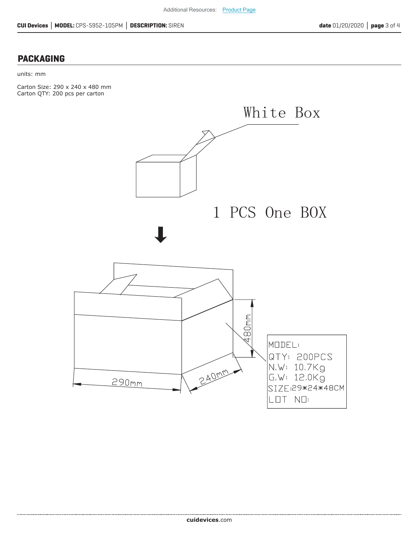#### **PACKAGING**

#### units: mm

........................

Carton Size: 290 x 240 x 480 mm Carton QTY: 200 pcs per carton